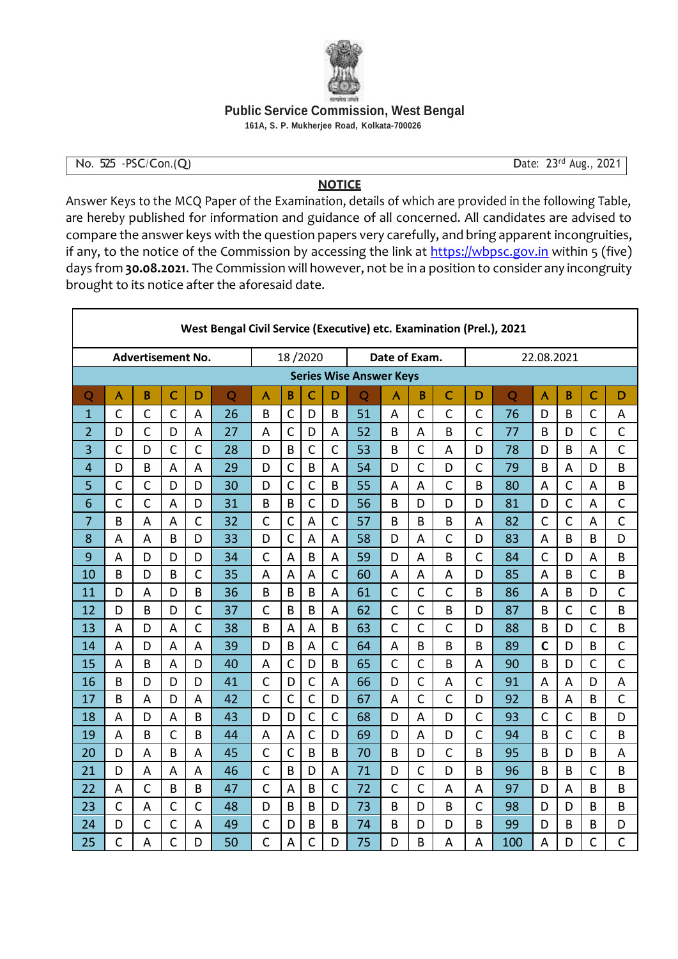

## **Public Service Commission, West Bengal**

**161A, S. P. Mukherjee Road, Kolkata-700026**

## No. 525 -PSC/Con.(Q) Date: 23rd Aug., 2021

## **NOTICE**

Answer Keys to the MCQ Paper of the Examination, details of which are provided in the following Table, are hereby published for information and guidance of all concerned. All candidates are advised to compare the answer keys with the question papers very carefully, and bring apparent incongruities, if any, to the notice of the Commission by accessing the link at [https://wbpsc.gov.in](https://wbpsc.gov.inwi/) within 5 (five) days from **30.08.2021**. The Commission will however, not be in a position to consider any incongruity brought to its notice after the aforesaid date.

| West Bengal Civil Service (Executive) etc. Examination (Prel.), 2021 |              |                |                |              |    |                         |                |                |              |                |                |                |                |              |                |                         |                |                |                |  |  |
|----------------------------------------------------------------------|--------------|----------------|----------------|--------------|----|-------------------------|----------------|----------------|--------------|----------------|----------------|----------------|----------------|--------------|----------------|-------------------------|----------------|----------------|----------------|--|--|
| <b>Advertisement No.</b>                                             |              |                |                |              |    |                         | 18/2020        |                |              |                | Date of Exam.  |                |                |              | 22.08.2021     |                         |                |                |                |  |  |
| <b>Series Wise Answer Keys</b>                                       |              |                |                |              |    |                         |                |                |              |                |                |                |                |              |                |                         |                |                |                |  |  |
| Q                                                                    | Ă            | B              | $\overline{C}$ | D            | Q  | $\overline{\mathsf{A}}$ | B              | C              | D            | $\overline{Q}$ | A              | B              | $\mathsf{C}$   | D            | $\overline{Q}$ | $\overline{\mathsf{A}}$ | B              | $\mathsf{C}$   | D              |  |  |
| $\mathbf{1}$                                                         | $\mathsf{C}$ | $\mathsf{C}$   | $\mathsf{C}$   | A            | 26 | B                       | $\mathsf{C}$   | D              | B            | 51             | A              | $\mathsf{C}$   | $\mathsf{C}$   | $\mathsf{C}$ | 76             | D                       | B              | $\mathsf{C}$   | A              |  |  |
| $\overline{2}$                                                       | D            | $\mathsf{C}$   | D              | A            | 27 | A                       | $\mathsf{C}$   | D              | A            | 52             | B              | A              | B              | $\mathsf{C}$ | 77             | B                       | D              | $\mathsf{C}$   | $\mathsf{C}$   |  |  |
| 3                                                                    | $\mathsf{C}$ | D              | $\overline{C}$ | $\mathsf{C}$ | 28 | D                       | B              | $\mathsf{C}$   | $\mathsf{C}$ | 53             | B              | $\mathsf{C}$   | $\overline{A}$ | D            | 78             | D                       | B              | A              | $\mathsf{C}$   |  |  |
| $\overline{4}$                                                       | D            | B              | A              | A            | 29 | D                       | $\mathsf{C}$   | B              | A            | 54             | D              | $\mathsf{C}$   | D              | $\mathsf{C}$ | 79             | B                       | A              | D              | B              |  |  |
| 5                                                                    | $\mathsf{C}$ | $\mathsf{C}$   | D              | D            | 30 | D                       | $\overline{C}$ | $\mathsf{C}$   | B            | 55             | $\overline{A}$ | A              | $\mathsf{C}$   | B            | 80             | $\overline{A}$          | $\overline{C}$ | A              | B              |  |  |
| 6                                                                    | $\mathsf{C}$ | $\mathsf{C}$   | A              | D            | 31 | B                       | B              | $\mathsf{C}$   | D            | 56             | B              | D              | D              | D            | 81             | D                       | $\mathsf{C}$   | $\overline{A}$ | $\overline{C}$ |  |  |
| 7                                                                    | B            | A              | A              | $\mathsf{C}$ | 32 | $\mathsf{C}$            | $\mathsf{C}$   | A              | $\mathsf{C}$ | 57             | B              | B              | B              | A            | 82             | $\mathsf{C}$            | $\mathsf{C}$   | A              | $\mathsf{C}$   |  |  |
| 8                                                                    | A            | A              | B              | D            | 33 | D                       | C              | A              | A            | 58             | D              | A              | $\mathsf{C}$   | D            | 83             | A                       | B              | B              | D              |  |  |
| 9                                                                    | A            | D              | D              | D            | 34 | $\mathsf{C}$            | A              | B              | A            | 59             | D              | A              | B              | $\mathsf{C}$ | 84             | $\mathsf{C}$            | D              | A              | B              |  |  |
| 10                                                                   | B            | D              | B              | $\mathsf{C}$ | 35 | $\overline{A}$          | A              | A              | $\mathsf{C}$ | 60             | A              | A              | A              | D            | 85             | A                       | B              | $\mathsf{C}$   | B              |  |  |
| 11                                                                   | D            | A              | D              | B            | 36 | B                       | B              | B              | A            | 61             | $\mathsf C$    | $\mathsf{C}$   | $\mathsf{C}$   | B            | 86             | A                       | B              | D              | $\mathsf{C}$   |  |  |
| 12                                                                   | D            | B              | D              | $\mathsf{C}$ | 37 | $\mathsf{C}$            | B              | B              | A            | 62             | $\mathsf C$    | $\mathsf{C}$   | B              | D            | 87             | B                       | $\mathsf{C}$   | $\mathsf{C}$   | B              |  |  |
| 13                                                                   | A            | D              | A              | $\mathsf{C}$ | 38 | B                       | $\overline{A}$ | A              | B            | 63             | $\mathsf{C}$   | $\mathsf{C}$   | $\mathsf{C}$   | D            | 88             | B                       | D              | $\mathsf{C}$   | B              |  |  |
| 14                                                                   | A            | D              | A              | A            | 39 | D                       | B              | $\overline{A}$ | $\mathsf{C}$ | 64             | A              | B              | B              | B            | 89             | $\mathsf{C}$            | D              | B              | $\mathsf{C}$   |  |  |
| 15                                                                   | A            | B              | A              | D            | 40 | A                       | $\mathsf{C}$   | D              | B            | 65             | $\mathsf{C}$   | $\overline{C}$ | B              | A            | 90             | B                       | D              | $\mathsf{C}$   | $\overline{C}$ |  |  |
| 16                                                                   | B            | D              | D              | D            | 41 | $\mathsf{C}$            | D              | $\mathsf{C}$   | A            | 66             | D              | $\mathsf{C}$   | A              | $\mathsf{C}$ | 91             | A                       | A              | D              | A              |  |  |
| 17                                                                   | B            | A              | D              | A            | 42 | $\mathsf{C}$            | $\mathsf{C}$   | $\mathsf{C}$   | D            | 67             | A              | $\mathsf{C}$   | $\mathsf{C}$   | D            | 92             | B                       | A              | B              | $\mathsf{C}$   |  |  |
| 18                                                                   | A            | D              | A              | B            | 43 | D                       | D              | $\mathsf{C}$   | $\mathsf{C}$ | 68             | D              | A              | D              | $\mathsf{C}$ | 93             | $\mathsf{C}$            | $\mathsf{C}$   | B              | D              |  |  |
| 19                                                                   | A            | B              | $\mathsf{C}$   | B            | 44 | A                       | A              | $\mathsf{C}$   | D            | 69             | D              | A              | D              | $\mathsf{C}$ | 94             | B                       | $\mathsf{C}$   | $\mathsf{C}$   | B              |  |  |
| 20                                                                   | D            | $\overline{A}$ | B              | A            | 45 | $\mathsf{C}$            | $\overline{C}$ | B              | B            | 70             | B              | D              | $\mathsf{C}$   | B            | 95             | B                       | D              | B              | A              |  |  |
| 21                                                                   | D            | A              | A              | A            | 46 | $\mathsf{C}$            | B              | D              | A            | 71             | D              | $\mathsf{C}$   | D              | B            | 96             | B                       | B              | $\mathsf{C}$   | B              |  |  |
| 22                                                                   | A            | $\mathsf{C}$   | B              | B            | 47 | $\mathsf{C}$            | A              | B              | $\mathsf{C}$ | 72             | $\mathsf{C}$   | $\mathsf{C}$   | $\overline{A}$ | A            | 97             | D                       | A              | B              | B              |  |  |
| 23                                                                   | $\mathsf{C}$ | A              | $\mathsf{C}$   | $\mathsf{C}$ | 48 | D                       | B              | B              | D            | 73             | B              | D              | B              | $\mathsf{C}$ | 98             | D                       | D              | B              | B              |  |  |
| 24                                                                   | D            | $\mathsf{C}$   | $\mathsf{C}$   | A            | 49 | $\mathsf{C}$            | D              | B              | B            | 74             | B              | D              | D              | B            | 99             | D                       | B              | B              | D              |  |  |
| 25                                                                   | $\mathsf{C}$ | A              | Ċ              | D            | 50 | $\mathsf{C}$            | А              | $\mathsf{C}$   | D            | 75             | D              | B              | A              | A            | 100            | A                       | D              | C              | $\mathsf{C}$   |  |  |